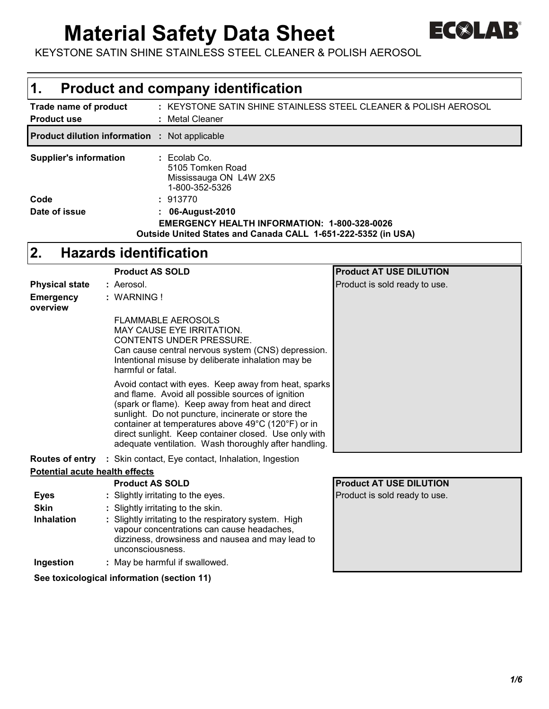# **Material Safety Data Sheet**



KEYSTONE SATIN SHINE STAINLESS STEEL CLEANER & POLISH AEROSOL

| 1.                                                                                                                                                                                                                                                                                    | <b>Product and company identification</b>                                                                                                                                                                                                                                                                                                                                                   |                                |  |  |  |  |  |  |  |  |
|---------------------------------------------------------------------------------------------------------------------------------------------------------------------------------------------------------------------------------------------------------------------------------------|---------------------------------------------------------------------------------------------------------------------------------------------------------------------------------------------------------------------------------------------------------------------------------------------------------------------------------------------------------------------------------------------|--------------------------------|--|--|--|--|--|--|--|--|
| Trade name of product<br><b>Product use</b>                                                                                                                                                                                                                                           | : KEYSTONE SATIN SHINE STAINLESS STEEL CLEANER & POLISH AEROSOL<br>: Metal Cleaner                                                                                                                                                                                                                                                                                                          |                                |  |  |  |  |  |  |  |  |
|                                                                                                                                                                                                                                                                                       | <b>Product dilution information : Not applicable</b>                                                                                                                                                                                                                                                                                                                                        |                                |  |  |  |  |  |  |  |  |
| <b>Supplier's information</b><br>: Ecolab Co.<br>5105 Tomken Road<br>Mississauga ON L4W 2X5<br>1-800-352-5326<br>: 913770<br>Code<br>Date of issue<br>06-August-2010<br>EMERGENCY HEALTH INFORMATION: 1-800-328-0026<br>Outside United States and Canada CALL 1-651-222-5352 (in USA) |                                                                                                                                                                                                                                                                                                                                                                                             |                                |  |  |  |  |  |  |  |  |
| 2.                                                                                                                                                                                                                                                                                    | <b>Hazards identification</b>                                                                                                                                                                                                                                                                                                                                                               |                                |  |  |  |  |  |  |  |  |
|                                                                                                                                                                                                                                                                                       | <b>Product AS SOLD</b>                                                                                                                                                                                                                                                                                                                                                                      | <b>Product AT USE DILUTION</b> |  |  |  |  |  |  |  |  |
| <b>Physical state</b>                                                                                                                                                                                                                                                                 | : Aerosol.                                                                                                                                                                                                                                                                                                                                                                                  | Product is sold ready to use.  |  |  |  |  |  |  |  |  |
| <b>Emergency</b><br>overview                                                                                                                                                                                                                                                          | : WARNING!<br><b>FLAMMABLE AEROSOLS</b><br><b>MAY CAUSE EYE IRRITATION.</b>                                                                                                                                                                                                                                                                                                                 |                                |  |  |  |  |  |  |  |  |
|                                                                                                                                                                                                                                                                                       | CONTENTS UNDER PRESSURE.<br>Can cause central nervous system (CNS) depression.<br>Intentional misuse by deliberate inhalation may be<br>harmful or fatal.                                                                                                                                                                                                                                   |                                |  |  |  |  |  |  |  |  |
|                                                                                                                                                                                                                                                                                       | Avoid contact with eyes. Keep away from heat, sparks<br>and flame. Avoid all possible sources of ignition<br>(spark or flame). Keep away from heat and direct<br>sunlight. Do not puncture, incinerate or store the<br>container at temperatures above 49°C (120°F) or in<br>direct sunlight. Keep container closed. Use only with<br>adequate ventilation. Wash thoroughly after handling. |                                |  |  |  |  |  |  |  |  |
|                                                                                                                                                                                                                                                                                       | <b>Routes of entry</b> : Skin contact, Eye contact, Inhalation, Ingestion                                                                                                                                                                                                                                                                                                                   |                                |  |  |  |  |  |  |  |  |
| <b>Potential acute health effects</b>                                                                                                                                                                                                                                                 |                                                                                                                                                                                                                                                                                                                                                                                             |                                |  |  |  |  |  |  |  |  |
|                                                                                                                                                                                                                                                                                       | <b>Product AS SOLD</b>                                                                                                                                                                                                                                                                                                                                                                      | <b>Product AT USE DILUTION</b> |  |  |  |  |  |  |  |  |
| <b>Eyes</b>                                                                                                                                                                                                                                                                           | : Slightly irritating to the eyes.                                                                                                                                                                                                                                                                                                                                                          | Product is sold ready to use.  |  |  |  |  |  |  |  |  |
| <b>Skin</b>                                                                                                                                                                                                                                                                           | : Slightly irritating to the skin.                                                                                                                                                                                                                                                                                                                                                          |                                |  |  |  |  |  |  |  |  |
| Inhalation                                                                                                                                                                                                                                                                            | : Slightly irritating to the respiratory system. High<br>vapour concentrations can cause headaches,<br>dizziness, drowsiness and nausea and may lead to<br>unconsciousness.                                                                                                                                                                                                                 |                                |  |  |  |  |  |  |  |  |
| Ingestion                                                                                                                                                                                                                                                                             | : May be harmful if swallowed.                                                                                                                                                                                                                                                                                                                                                              |                                |  |  |  |  |  |  |  |  |
|                                                                                                                                                                                                                                                                                       | See toxicological information (section 11)                                                                                                                                                                                                                                                                                                                                                  |                                |  |  |  |  |  |  |  |  |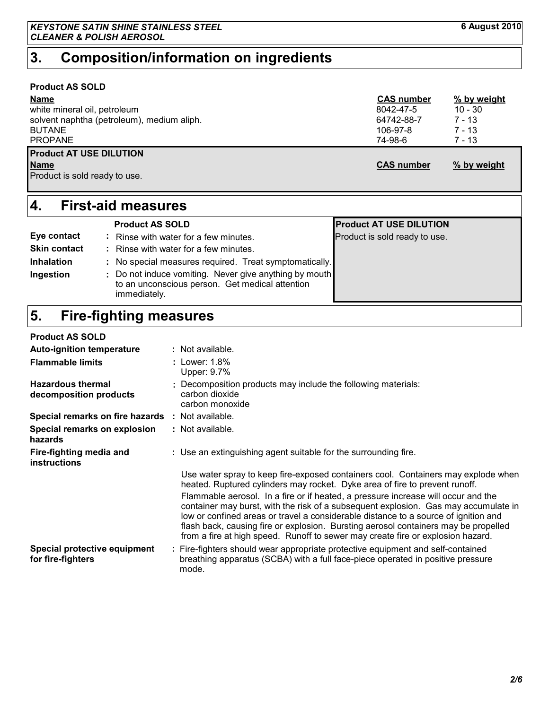### **Product AS SOLD**

| <b>Name</b>                                | <b>CAS number</b> | % by weight |
|--------------------------------------------|-------------------|-------------|
| white mineral oil, petroleum               | 8042-47-5         | $10 - 30$   |
| solvent naphtha (petroleum), medium aliph. | 64742-88-7        | 7 - 13      |
| <b>BUTANE</b>                              | 106-97-8          | 7 - 13      |
| <b>PROPANE</b>                             | 74-98-6           | $7 - 13$    |
| <b>Product AT USE DILUTION</b>             |                   |             |
| <b>Name</b>                                | <b>CAS number</b> | % by weight |
| Product is sold ready to use.              |                   |             |
|                                            |                   |             |

# **First-aid measures 4.**

|                     | <b>Product AS SOLD</b>                                                                                                    | <b>Product AT USE DILUTION</b> |
|---------------------|---------------------------------------------------------------------------------------------------------------------------|--------------------------------|
| Eye contact         | Rinse with water for a few minutes.                                                                                       | Product is sold ready to use.  |
| <b>Skin contact</b> | : Rinse with water for a few minutes.                                                                                     |                                |
| <b>Inhalation</b>   | : No special measures required. Treat symptomatically.                                                                    |                                |
| Ingestion           | : Do not induce vomiting. Never give anything by mouth<br>to an unconscious person. Get medical attention<br>immediately. |                                |

#### **Fire-fighting measures 5.**

#### **Product AS SOLD**

| <b>Auto-ignition temperature</b>                        | : Not available.                                                                                                                                                                                                                                                                                                                                                                                                                          |
|---------------------------------------------------------|-------------------------------------------------------------------------------------------------------------------------------------------------------------------------------------------------------------------------------------------------------------------------------------------------------------------------------------------------------------------------------------------------------------------------------------------|
| <b>Flammable limits</b>                                 | : Lower: 1.8%<br>Upper: 9.7%                                                                                                                                                                                                                                                                                                                                                                                                              |
| <b>Hazardous thermal</b><br>decomposition products      | : Decomposition products may include the following materials:<br>carbon dioxide<br>carbon monoxide                                                                                                                                                                                                                                                                                                                                        |
| <b>Special remarks on fire hazards : Not available.</b> |                                                                                                                                                                                                                                                                                                                                                                                                                                           |
| Special remarks on explosion<br>hazards                 | : Not available.                                                                                                                                                                                                                                                                                                                                                                                                                          |
| Fire-fighting media and<br><b>instructions</b>          | : Use an extinguishing agent suitable for the surrounding fire.                                                                                                                                                                                                                                                                                                                                                                           |
|                                                         | Use water spray to keep fire-exposed containers cool. Containers may explode when<br>heated. Ruptured cylinders may rocket. Dyke area of fire to prevent runoff.                                                                                                                                                                                                                                                                          |
|                                                         | Flammable aerosol. In a fire or if heated, a pressure increase will occur and the<br>container may burst, with the risk of a subsequent explosion. Gas may accumulate in<br>low or confined areas or travel a considerable distance to a source of ignition and<br>flash back, causing fire or explosion. Bursting aerosol containers may be propelled<br>from a fire at high speed. Runoff to sewer may create fire or explosion hazard. |
| Special protective equipment<br>for fire-fighters       | : Fire-fighters should wear appropriate protective equipment and self-contained<br>breathing apparatus (SCBA) with a full face-piece operated in positive pressure<br>mode.                                                                                                                                                                                                                                                               |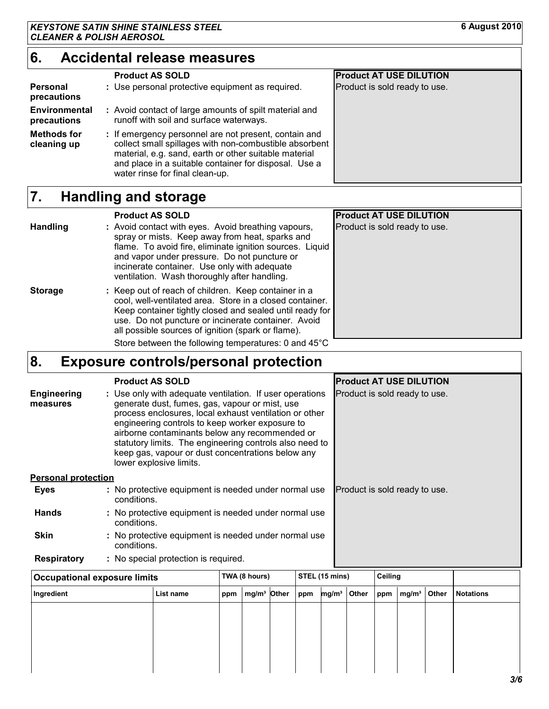#### **Accidental release measures 6.**

|                                   | <b>Product AS SOLD</b>                                                                                                                                                                                                                                               | <b>Product AT USE DILUTION</b> |
|-----------------------------------|----------------------------------------------------------------------------------------------------------------------------------------------------------------------------------------------------------------------------------------------------------------------|--------------------------------|
| Personal<br>precautions           | : Use personal protective equipment as required.                                                                                                                                                                                                                     | Product is sold ready to use.  |
| Environmental<br>precautions      | : Avoid contact of large amounts of spilt material and<br>runoff with soil and surface waterways.                                                                                                                                                                    |                                |
| <b>Methods for</b><br>cleaning up | : If emergency personnel are not present, contain and<br>collect small spillages with non-combustible absorbent<br>material, e.g. sand, earth or other suitable material<br>and place in a suitable container for disposal. Use a<br>water rinse for final clean-up. |                                |

#### **Handling and storage 7.**

|                 | <b>Product AS SOLD</b>                                                                                                                                                                                                                                                                                             | <b>Product AT USE DILUTION</b> |
|-----------------|--------------------------------------------------------------------------------------------------------------------------------------------------------------------------------------------------------------------------------------------------------------------------------------------------------------------|--------------------------------|
| <b>Handling</b> | : Avoid contact with eyes. Avoid breathing vapours,<br>spray or mists. Keep away from heat, sparks and<br>flame. To avoid fire, eliminate ignition sources. Liquid<br>and vapor under pressure. Do not puncture or<br>incinerate container. Use only with adequate<br>ventilation. Wash thoroughly after handling. | Product is sold ready to use.  |
| <b>Storage</b>  | : Keep out of reach of children. Keep container in a<br>cool, well-ventilated area. Store in a closed container.<br>Keep container tightly closed and sealed until ready for<br>use. Do not puncture or incinerate container. Avoid<br>all possible sources of ignition (spark or flame).                          |                                |
|                 | Store between the following temperatures: 0 and 45°C                                                                                                                                                                                                                                                               |                                |

# **Exposure controls/personal protection 8.**

| <b>Engineering</b><br>measures | <b>Product AS SOLD</b><br>: Use only with adequate ventilation. If user operations<br>generate dust, fumes, gas, vapour or mist, use<br>process enclosures, local exhaust ventilation or other<br>engineering controls to keep worker exposure to<br>airborne contaminants below any recommended or<br>statutory limits. The engineering controls also need to<br>keep gas, vapour or dust concentrations below any<br>lower explosive limits. | <b>Product AT USE DILUTION</b><br>Product is sold ready to use. |
|--------------------------------|------------------------------------------------------------------------------------------------------------------------------------------------------------------------------------------------------------------------------------------------------------------------------------------------------------------------------------------------------------------------------------------------------------------------------------------------|-----------------------------------------------------------------|
| <b>Personal protection</b>     |                                                                                                                                                                                                                                                                                                                                                                                                                                                |                                                                 |
| Eyes                           | : No protective equipment is needed under normal use<br>conditions.                                                                                                                                                                                                                                                                                                                                                                            | Product is sold ready to use.                                   |
| <b>Hands</b>                   | : No protective equipment is needed under normal use<br>conditions.                                                                                                                                                                                                                                                                                                                                                                            |                                                                 |
| <b>Skin</b>                    | : No protective equipment is needed under normal use<br>conditions.                                                                                                                                                                                                                                                                                                                                                                            |                                                                 |
| <b>Respiratory</b>             | : No special protection is required.                                                                                                                                                                                                                                                                                                                                                                                                           |                                                                 |

| <b>Occupational exposure limits</b> |     |  | TWA (8 hours) |                         |                            | STEL (15 mins) |  |  | Ceiling         |                  |  |
|-------------------------------------|-----|--|---------------|-------------------------|----------------------------|----------------|--|--|-----------------|------------------|--|
| List name                           | ppm |  |               |                         | mg/m <sup>3</sup><br>Other |                |  |  |                 | <b>Notations</b> |  |
|                                     |     |  |               |                         |                            |                |  |  |                 |                  |  |
|                                     |     |  |               |                         |                            |                |  |  |                 |                  |  |
|                                     |     |  |               |                         |                            |                |  |  |                 |                  |  |
|                                     |     |  |               |                         |                            |                |  |  |                 |                  |  |
|                                     |     |  |               | mg/m <sup>3</sup> Other | ppm                        |                |  |  | $ppm$   $mg/m3$ | <b>Other</b>     |  |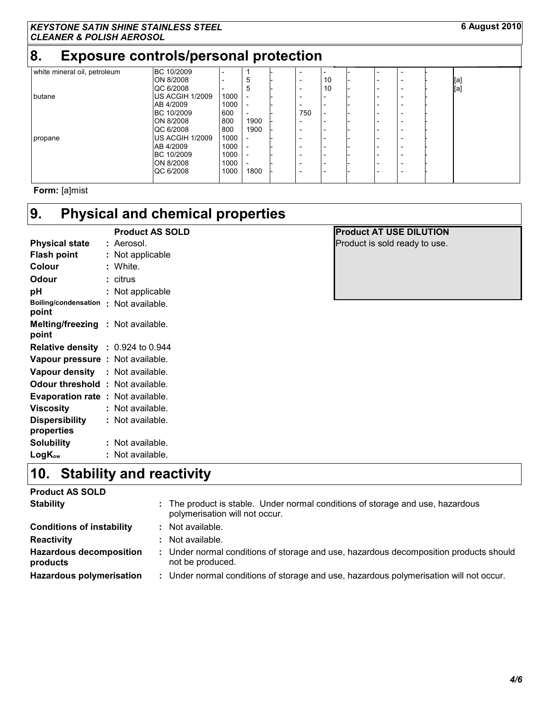# **8. Exposure controls/personal protection**

| white mineral oil, petroleum | BC 10/2009             | $\overline{\phantom{0}}$ |                          |                          |                          |  |                          |     |
|------------------------------|------------------------|--------------------------|--------------------------|--------------------------|--------------------------|--|--------------------------|-----|
|                              | ON 8/2008              | $\overline{\phantom{0}}$ | đ                        | $\overline{\phantom{a}}$ | 10                       |  | $\overline{\phantom{0}}$ | [a] |
|                              | QC 6/2008              | $\overline{\phantom{0}}$ | Ð                        | $\overline{\phantom{0}}$ | 10                       |  | $\overline{\phantom{0}}$ | [a] |
| butane                       | <b>US ACGIH 1/2009</b> | 1000                     |                          | $\overline{\phantom{0}}$ |                          |  | $\overline{\phantom{0}}$ |     |
|                              | AB 4/2009              | 1000                     |                          | $\overline{\phantom{0}}$ |                          |  | $\overline{\phantom{0}}$ |     |
|                              | BC 10/2009             | 600                      | $\overline{\phantom{0}}$ | 750                      | $\overline{\phantom{0}}$ |  | $\overline{\phantom{0}}$ |     |
|                              | ON 8/2008              | 800                      | 1900                     | $\overline{\phantom{0}}$ |                          |  |                          |     |
|                              | QC 6/2008              | 800                      | 1900                     | $\overline{\phantom{0}}$ |                          |  | $\overline{\phantom{0}}$ |     |
| propane                      | <b>US ACGIH 1/2009</b> | 1000                     |                          | -                        |                          |  |                          |     |
|                              | AB 4/2009              | 1000                     |                          | -                        |                          |  | $\overline{\phantom{0}}$ |     |
|                              | BC 10/2009             | 1000                     |                          | $\overline{\phantom{a}}$ |                          |  |                          |     |
|                              | ON 8/2008              | 1000                     |                          | $\overline{\phantom{a}}$ | $\overline{\phantom{0}}$ |  |                          |     |
|                              | QC 6/2008              | 1000                     | 1800                     | $\overline{\phantom{a}}$ | $\overline{\phantom{0}}$ |  | $\overline{\phantom{0}}$ |     |
|                              |                        |                          |                          |                          |                          |  |                          |     |

**Form:** [a]mist

# **Physical and chemical properties 9.**

|                                                   |    | <b>Product AS SOLD</b> |
|---------------------------------------------------|----|------------------------|
| Physical state                                    |    | : Aerosol.             |
| <b>Flash point</b>                                | t. | Not applicable         |
| Colour                                            |    | : White.               |
| Odour                                             |    | : citrus               |
| рH                                                |    | Not applicable         |
| <b>Boiling/condensation</b><br>point              | н. | Not available.         |
| <b>Melting/freezing : Not available.</b><br>point |    |                        |
| <b>Relative density : 0.924 to 0.944</b>          |    |                        |
| Vapour pressure : Not available.                  |    |                        |
| Vapour density                                    |    | : Not available.       |
| Odour threshold                                   |    | : Not available.       |
| <b>Evaporation rate</b>                           |    | : Not available.       |
| <b>Viscosity</b>                                  |    | Not available.         |
| <b>Dispersibility</b>                             |    | Not available.         |
| properties                                        |    |                        |
| Solubility                                        |    | Not available.         |
| $LogK_{ow}$                                       |    | Not available.         |

# **Product AT USE DILUTION**

Product is sold ready to use.

# **Stability and reactivity 10.**

### **Product AS SOLD**

| <b>Stability</b>                           | : The product is stable. Under normal conditions of storage and use, hazardous<br>polymerisation will not occur. |
|--------------------------------------------|------------------------------------------------------------------------------------------------------------------|
| <b>Conditions of instability</b>           | : Not available.                                                                                                 |
| <b>Reactivity</b>                          | : Not available.                                                                                                 |
| <b>Hazardous decomposition</b><br>products | : Under normal conditions of storage and use, hazardous decomposition products should<br>not be produced.        |
| <b>Hazardous polymerisation</b>            | : Under normal conditions of storage and use, hazardous polymerisation will not occur.                           |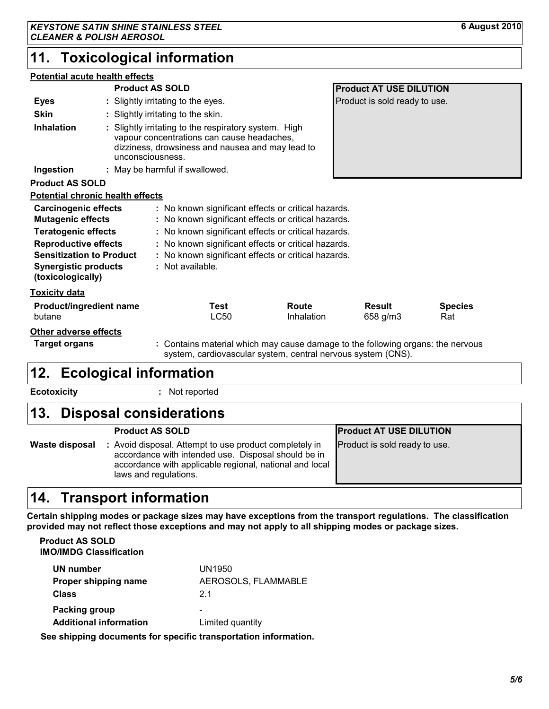# **11. Toxicological information**

#### **Potential acute health effects**

|                                                                                                                                                                                                             |  | <b>Product AS SOLD</b> |                                    |              | <b>Product AT USE DILUTION</b>                                                                                                                                                                                                                                                  |                                                                                                                                                 |                       |  |  |
|-------------------------------------------------------------------------------------------------------------------------------------------------------------------------------------------------------------|--|------------------------|------------------------------------|--------------|---------------------------------------------------------------------------------------------------------------------------------------------------------------------------------------------------------------------------------------------------------------------------------|-------------------------------------------------------------------------------------------------------------------------------------------------|-----------------------|--|--|
| <b>Eyes</b>                                                                                                                                                                                                 |  |                        | : Slightly irritating to the eyes. |              |                                                                                                                                                                                                                                                                                 | Product is sold ready to use.                                                                                                                   |                       |  |  |
| <b>Skin</b>                                                                                                                                                                                                 |  |                        | : Slightly irritating to the skin. |              |                                                                                                                                                                                                                                                                                 |                                                                                                                                                 |                       |  |  |
| <b>Inhalation</b><br>: Slightly irritating to the respiratory system. High<br>vapour concentrations can cause headaches,<br>dizziness, drowsiness and nausea and may lead to<br>unconsciousness.            |  |                        |                                    |              |                                                                                                                                                                                                                                                                                 |                                                                                                                                                 |                       |  |  |
| Ingestion                                                                                                                                                                                                   |  |                        | : May be harmful if swallowed.     |              |                                                                                                                                                                                                                                                                                 |                                                                                                                                                 |                       |  |  |
| <b>Product AS SOLD</b>                                                                                                                                                                                      |  |                        |                                    |              |                                                                                                                                                                                                                                                                                 |                                                                                                                                                 |                       |  |  |
| <b>Potential chronic health effects</b>                                                                                                                                                                     |  |                        |                                    |              |                                                                                                                                                                                                                                                                                 |                                                                                                                                                 |                       |  |  |
| <b>Carcinogenic effects</b><br><b>Mutagenic effects</b><br><b>Teratogenic effects</b><br><b>Reproductive effects</b><br><b>Sensitization to Product</b><br><b>Synergistic products</b><br>(toxicologically) |  |                        | : Not available.                   |              | : No known significant effects or critical hazards.<br>: No known significant effects or critical hazards.<br>: No known significant effects or critical hazards.<br>: No known significant effects or critical hazards.<br>: No known significant effects or critical hazards. |                                                                                                                                                 |                       |  |  |
| <u>Toxicity data</u>                                                                                                                                                                                        |  |                        |                                    |              |                                                                                                                                                                                                                                                                                 |                                                                                                                                                 |                       |  |  |
| <b>Product/ingredient name</b><br>butane                                                                                                                                                                    |  |                        |                                    | Test<br>LC50 | Route<br>Inhalation                                                                                                                                                                                                                                                             | <b>Result</b><br>658 g/m3                                                                                                                       | <b>Species</b><br>Rat |  |  |
| Other adverse effects<br><b>Target organs</b>                                                                                                                                                               |  |                        |                                    |              |                                                                                                                                                                                                                                                                                 | : Contains material which may cause damage to the following organs: the nervous<br>system, cardiovascular system, central nervous system (CNS). |                       |  |  |

# **Ecological information 12.**

**Ecotoxicity :**

: Not reported

# **Disposal considerations 13.**

|                | <b>Product AS SOLD</b>                                                                                                                                                                            | <b>Product AT USE DILUTION</b> |
|----------------|---------------------------------------------------------------------------------------------------------------------------------------------------------------------------------------------------|--------------------------------|
| Waste disposal | : Avoid disposal. Attempt to use product completely in<br>accordance with intended use. Disposal should be in<br>accordance with applicable regional, national and local<br>laws and regulations. | Product is sold ready to use.  |
|                |                                                                                                                                                                                                   |                                |

# **14. Transport information**

**Certain shipping modes or package sizes may have exceptions from the transport regulations. The classification provided may not reflect those exceptions and may not apply to all shipping modes or package sizes.**

**IMO/IMDG Classification Product AS SOLD**

| UN number                     | UN1950                   |
|-------------------------------|--------------------------|
| Proper shipping name          | AEROSOLS, FLAMMABLE      |
| <b>Class</b>                  | 21                       |
| Packing group                 | $\overline{\phantom{0}}$ |
| <b>Additional information</b> | Limited quantity         |

**See shipping documents for specific transportation information.**